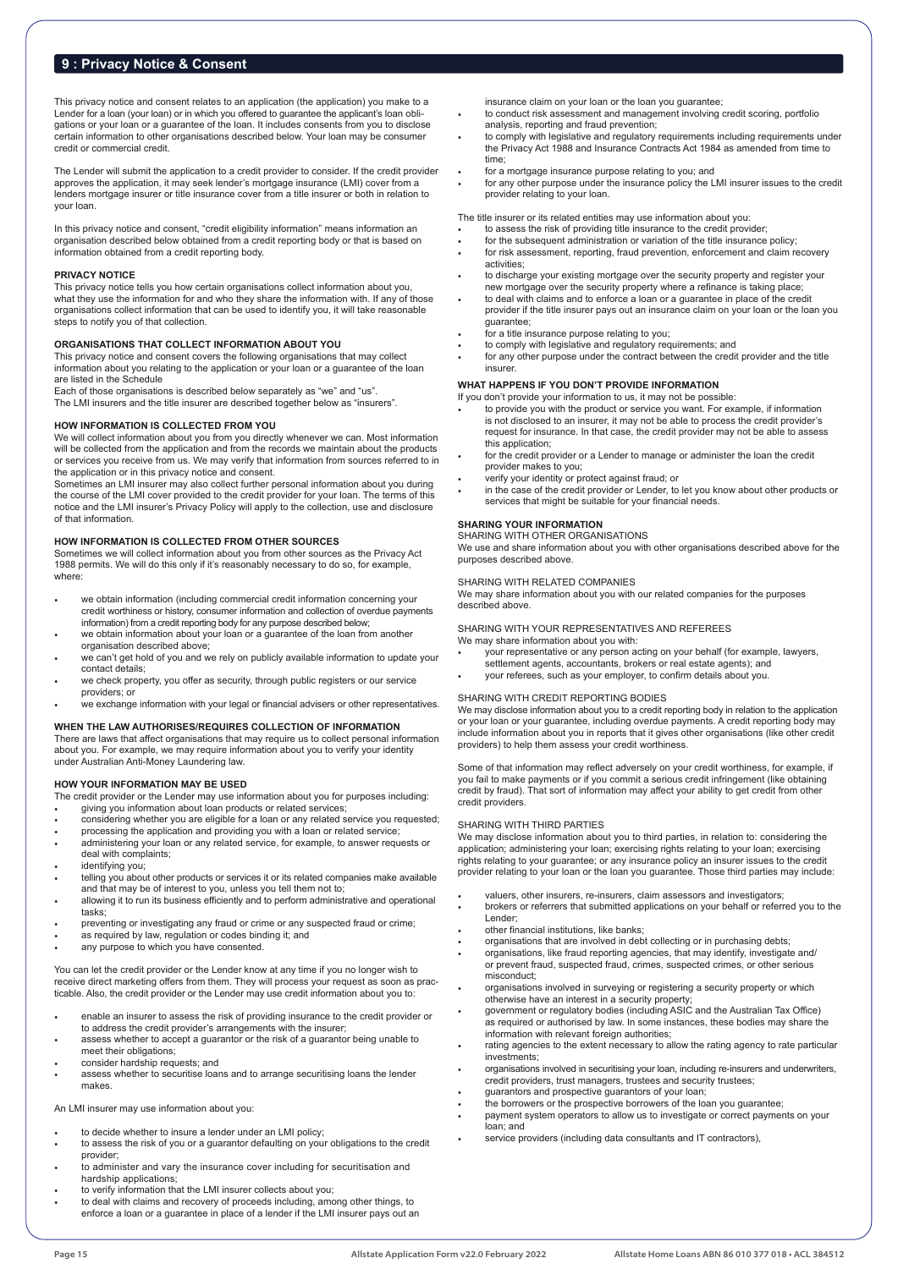## **9 : Privacy Notice & Consent**

This privacy notice and consent relates to an application (the application) you make to a Lender for a loan (your loan) or in which you offered to guarantee the applicant's loan obligations or your loan or a guarantee of the loan. It includes consents from you to disclose certain information to other organisations described below. Your loan may be consumer credit or commercial credit.

The Lender will submit the application to a credit provider to consider. If the credit provider<br>approves the application, it may seek lender's mortgage insurance (LMI) cover from a<br>lenders mortgage insurer or title insuran your loan.

In this privacy notice and consent, "credit eligibility information" means information an organisation described below obtained from a credit reporting body or that is based on information obtained from a credit reporting body.

## **PRIVACY NOTICE**

This privacy notice tells you how certain organisations collect information about you, what they use the information for and who they share the information with. If any of those organisations collect information that can be used to identify you, it will take reasonable steps to notify you of that collection.

## **ORGANISATIONS THAT COLLECT INFORMATION ABOUT YOU**

This privacy notice and consent covers the following organisations that may collect information about you relating to the application or your loan or a guarantee of the loan are listed in the Schedule

Each of those organisations is described below separately as "we" and "us". The LMI insurers and the title insurer are described together below as "insurers".

## **HOW INFORMATION IS COLLECTED FROM YOU**

We will collect information about you from you directly whenever we can. Most information will be collected from the application and from the records we maintain about the products or services you receive from us. We may verify that information from sources referred to in

the application or in this privacy notice and consent. Sometimes an LMI insurer may also collect further personal information about you during the course of the LMI cover provided to the credit provider for your loan. The terms of this notice and the LMI insurer's Privacy Policy will apply to the collection, use and disclosure of that information.

## **HOW INFORMATION IS COLLECTED FROM OTHER SOURCES**

Sometimes we will collect information about you from other sources as the Privacy Act 1988 permits. We will do this only if it's reasonably necessary to do so, for example, where:

- we obtain information (including commercial credit information concerning your credit worthiness or history, consumer information and collection of overdue payments information) from a credit reporting body for any purpose described below;
- we obtain information about your loan or a guarantee of the loan from another organisation described above; we can't get hold of you and we rely on publicly available information to update your
- contact details;
- we check property, you offer as security, through public registers or our service providers; or
- we exchange information with your legal or financial advisers or other representatives.

### **WHEN THE LAW AUTHORISES/REQUIRES COLLECTION OF INFORMATION**

There are laws that affect organisations that may require us to collect personal information about you. For example, we may require information about you to verify your identity under Australian Anti-Money Laundering law.

#### **HOW YOUR INFORMATION MAY BE USED**

The credit provider or the Lender may use information about you for purposes including: • giving you information about loan products or related services;

- considering whether you are eligible for a loan or any related service you requested;
- processing the application and providing you with a loan or related service;
- administering your loan or any related service, for example, to answer requests or deal with complaints;
- identifying you;
- telling you about other products or services it or its related companies make available<br>and that may be of interest to you, unless you tell them not to;<br>allowing it to run its business efficiently and to perform administra
- tasks;
- preventing or investigating any fraud or crime or any suspected fraud or crime; as required by law, regulation or codes binding it; and
- 
- any purpose to which you have consented.

You can let the credit provider or the Lender know at any time if you no longer wish to receive direct marketing offers from them. They will process your request as soon as practicable. Also, the credit provider or the Lender may use credit information about you to:

- enable an insurer to assess the risk of providing insurance to the credit provider or to address the credit provider's arrangements with the insurer;
- assess whether to accept a guarantor or the risk of a guarantor being unable to meet their obligations;
- consider hardship requests; and
- assess whether to securitise loans and to arrange securitising loans the lender makes.

## An LMI insurer may use information about you:

- to decide whether to insure a lender under an LMI policy;
- to assess the risk of you or a guarantor defaulting on your obligations to the credit provider;
- to administer and vary the insurance cover including for securitisation and
- hardship applications; to verify information that the LMI insurer collects about you;
- to deal with claims and recovery of proceeds including, among other things, to enforce a loan or a guarantee in place of a lender if the LMI insurer pays out an

insurance claim on your loan or the loan you guarantee;

- to conduct risk assessment and management involving credit scoring, portfolio analysis, reporting and fraud prevention;
- to comply with legislative and regulatory requirements including requirements under the Privacy Act 1988 and Insurance Contracts Act 1984 as amended from time to time;
- 
- for a mortgage insurance purpose relating to you; and for any other purpose under the insurance policy the LMI insurer issues to the credit provider relating to your loan.

The title insurer or its related entities may use information about you: • to assess the risk of providing title insurance to the credit provider;

- 
- For the subsequent administration or variation of the title insurance policy; for risk assessment, reporting, fraud prevention, enforcement and claim recovery activities;
- to discharge your existing mortgage over the security property and register your new mortgage over the security property where a refinance is taking place;
- to deal with claims and to enforce a loan or a guarantee in place of the credit provider if the title insurer pays out an insurance claim on your loan or the loan you guarantee;
- for a title insurance purpose relating to you;
- to comply with legislative and regulatory requirements; and
- for any other purpose under the contract between the credit provider and the title insurer.

## **WHAT HAPPENS IF YOU DON'T PROVIDE INFORMATION**

If you don't provide your information to us, it may not be possible:

- to provide you with the product or service you want. For example, if information is not disclosed to an insurer, it may not be able to process the credit provider's request for insurance. In that case, the credit provider may not be able to assess this application;
- for the credit provider or a Lender to manage or administer the loan the credit provider makes to you; • verify your identity or protect against fraud; or
- 
- in the case of the credit provider or Lender, to let you know about other products or services that might be suitable for your financial needs.

## **SHARING YOUR INFORMATION**

SHARING WITH OTHER ORGANISATIONS We use and share information about you with other organisations described above for the purposes described above.

## SHARING WITH RELATED COMPANIES

We may share information about you with our related companies for the purposes described above.

SHARING WITH YOUR REPRESENTATIVES AND REFEREES We may share information about you with:

- your representative or any person acting on your behalf (for example, lawyers,
- settlement agents, accountants, brokers or real estate agents); and
- your referees, such as your employer, to confirm details about you.

## SHARING WITH CREDIT REPORTING BODIES

We may disclose information about you to a credit reporting body in relation to the application or your loan or your guarantee, including overdue payments. A credit reporting body may include information about you in reports that it gives other organisations (like other credit providers) to help them assess your credit worthiness.

Some of that information may reflect adversely on your credit worthiness, for example, if you fail to make payments or if you commit a serious credit infringement (like obtaining credit by fraud). That sort of information may affect your ability to get credit from other credit providers.

#### SHARING WITH THIRD PARTIES

We may disclose information about you to third parties, in relation to: considering the application; administering your loan; exercising rights relating to your loan; exercising rights relating to your guarantee; or any insurance policy an insurer issues to the credit provider relating to your loan or the loan you guarantee. Those third parties may include:

- 
- valuers, other insurers, re-insurers, claim assessors and investigators; brokers or referrers that submitted applications on your behalf or referred you to the Lender;
- other financial institutions, like banks;
- organisations that are involved in debt collecting or in purchasing debts; organisations, like fraud reporting agencies, that may identify, investigate and/
- or prevent fraud, suspected fraud, crimes, suspected crimes, or other serious misconduct;
- organisations involved in surveying or registering a security property or which otherwise have an interest in a security property;
- government or regulatory bodies (including ASIC and the Australian Tax Office) as required or authorised by law. In some instances, these bodies may share the
- information with relevant foreign authorities; rating agencies to the extent necessary to allow the rating agency to rate particular investments;
- organisations involved in securitising your loan, including re-insurers and underwriters, credit providers, trust managers, trustees and security trustees; guarantors and prospective guarantors of your loan;
- 
- the borrowers or the prospective borrowers of the loan you guarantee;
- payment system operators to allow us to investigate or correct payments on your loan; and
- service providers (including data consultants and IT contractors),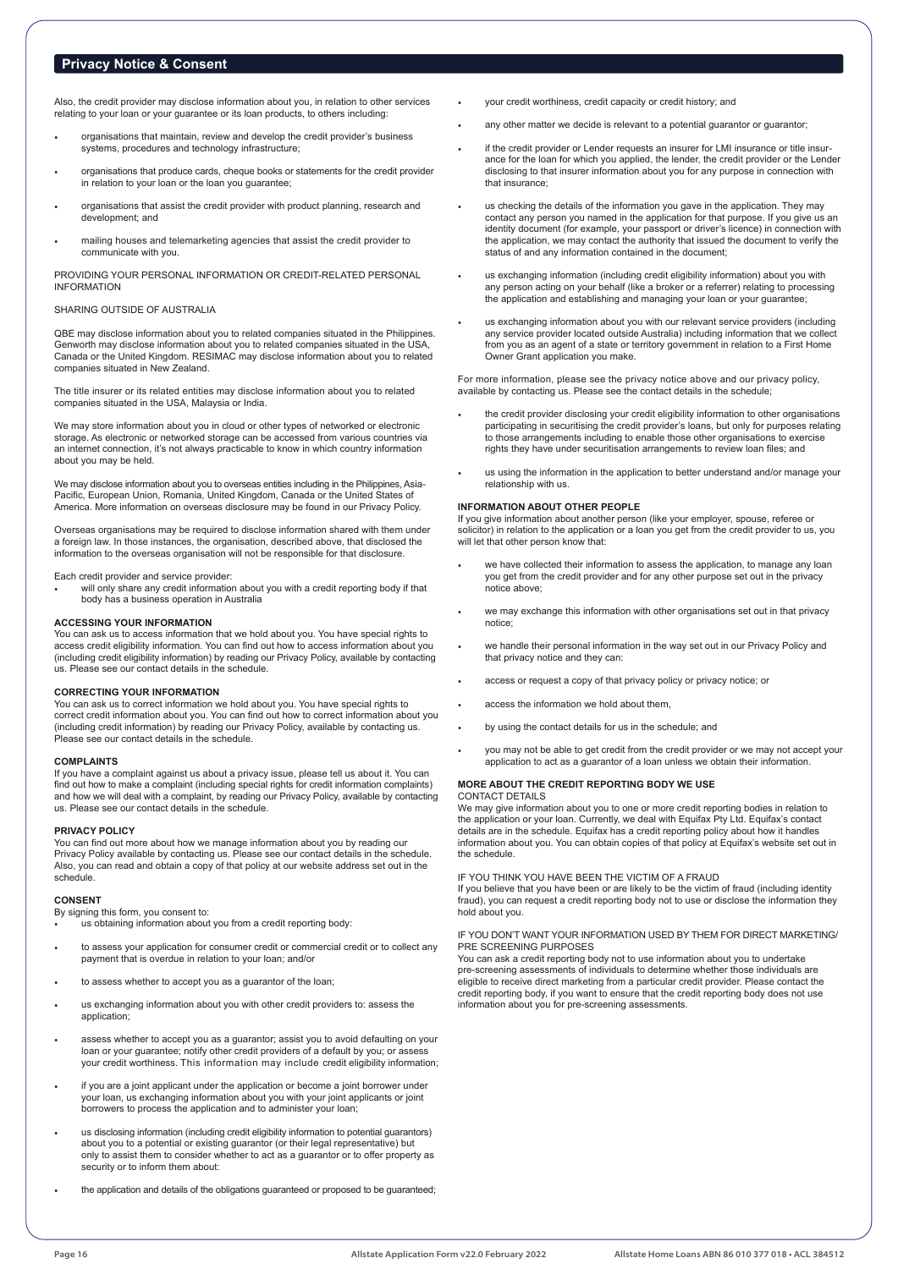# **Privacy Notice & Consent**

Also, the credit provider may disclose information about you, in relation to other services relating to your loan or your guarantee or its loan products, to others including:

- organisations that maintain, review and develop the credit provider's business systems, procedures and technology infrastructure;
- organisations that produce cards, cheque books or statements for the credit provider in relation to your loan or the loan you guarantee;
- organisations that assist the credit provider with product planning, research and development; and
- mailing houses and telemarketing agencies that assist the credit provider to communicate with you.

PROVIDING YOUR PERSONAL INFORMATION OR CREDIT-RELATED PERSONAL INFORMATION

## SHARING OUTSIDE OF AUSTRALIA

QBE may disclose information about you to related companies situated in the Philippines. Genworth may disclose information about you to related companies situated in the USA, Canada or the United Kingdom. RESIMAC may disclose information about you to related companies situated in New Zealand.

The title insurer or its related entities may disclose information about you to related companies situated in the USA, Malaysia or India.

We may store information about you in cloud or other types of networked or electronic storage. As electronic or networked storage can be accessed from various countries via an internet connection, it's not always practicable to know in which country information about you may be held.

We may disclose information about you to overseas entities including in the Philippines, Asia-Pacific, European Union, Romania, United Kingdom, Canada or the United States of America. More information on overseas disclosure may be found in our Privacy Policy.

Overseas organisations may be required to disclose information shared with them under a foreign law. In those instances, the organisation, described above, that disclosed the information to the overseas organisation will not be responsible for that disclosure.

#### Each credit provider and service provider:

• will only share any credit information about you with a credit reporting body if that body has a business operation in Australia

### **ACCESSING YOUR INFORMATION**

You can ask us to access information that we hold about you. You have special rights to access credit eligibility information. You can find out how to access information about you (including credit eligibility information) by reading our Privacy Policy, available by contacting us. Please see our contact details in the schedule.

#### **CORRECTING YOUR INFORMATION**

You can ask us to correct information we hold about you. You have special rights to correct credit information about you. You can find out how to correct information about you (including credit information) by reading our Privacy Policy, available by contacting us. Please see our contact details in the schedule.

#### **COMPLAINTS**

If you have a complaint against us about a privacy issue, please tell us about it. You can find out how to make a complaint (including special rights for credit information complaints) and how we will deal with a complaint, by reading our Privacy Policy, available by contacting us. Please see our contact details in the schedule.

#### **PRIVACY POLICY**

You can find out more about how we manage information about you by reading our Privacy Policy available by contacting us. Please see our contact details in the schedule. Also, you can read and obtain a copy of that policy at our website address set out in the schedule.

#### **CONSENT**

By signing this form, you consent to:

us obtaining information about you from a credit reporting body:

- to assess your application for consumer credit or commercial credit or to collect any payment that is overdue in relation to your loan; and/or
- to assess whether to accept you as a guarantor of the loan;
- us exchanging information about you with other credit providers to: assess the application;
- assess whether to accept you as a guarantor; assist you to avoid defaulting on your loan or your guarantee; notify other credit providers of a default by you; or assess your credit worthiness. This information may include credit eligibility information;
- if you are a joint applicant under the application or become a joint borrower under<br>your loan, us exchanging information about you with your joint applicants or joint<br>borrowers to process the application and to administer
- us disclosing information (including credit eligibility information to potential guarantors) about you to a potential or existing guarantor (or their legal representative) but only to assist them to consider whether to act as a guarantor or to offer property as security or to inform them about:
- the application and details of the obligations guaranteed or proposed to be guaranteed:
- your credit worthiness, credit capacity or credit history; and
- any other matter we decide is relevant to a potential guarantor or guarantor;
- if the credit provider or Lender requests an insurer for LMI insurance or title insurance for the loan for which you applied, the lender, the credit provider or the Lender disclosing to that insurer information about you for any purpose in connection with that insurance;
- us checking the details of the information you gave in the application. They may contact any person you named in the application for that purpose. If you give us an<br>identity document (for example, your passport or driver's licence) in connection with<br>the application, we may contact the authority that i status of and any information contained in the document;
- us exchanging information (including credit eligibility information) about you with any person acting on your behalf (like a broker or a referrer) relating to processing the application and establishing and managing your loan or your guarantee;
- us exchanging information about you with our relevant service providers (including any service provider located outside Australia) including information that we collect from you as an agent of a state or territory government in relation to a First Home Owner Grant application you make.

For more information, please see the privacy notice above and our privacy policy, available by contacting us. Please see the contact details in the schedule;

- the credit provider disclosing your credit eligibility information to other organisations participating in securitising the credit provider's loans, but only for purposes relating to those arrangements including to enable those other organisations to exercise rights they have under securitisation arrangements to review loan files; and
- us using the information in the application to better understand and/or manage your relationship with us.

## **INFORMATION ABOUT OTHER PEOPLE**

If you give information about another person (like your employer, spouse, referee or solicitor) in relation to the application or a loan you get from the credit provider to us, you will let that other person know that:

- we have collected their information to assess the application, to manage any loan you get from the credit provider and for any other purpose set out in the privacy notice above;
- we may exchange this information with other organisations set out in that privacy notice;
- we handle their personal information in the way set out in our Privacy Policy and that privacy notice and they can:
- access or request a copy of that privacy policy or privacy notice; or
- access the information we hold about them,
- by using the contact details for us in the schedule; and
- you may not be able to get credit from the credit provider or we may not accept your application to act as a guarantor of a loan unless we obtain their information.

#### **MORE ABOUT THE CREDIT REPORTING BODY WE USE** CONTACT DETAILS

We may give information about you to one or more credit reporting bodies in relation to the application or your loan. Currently, we deal with Equifax Pty Ltd. Equifax's contact details are in the schedule. Equifax has a credit reporting policy about how it handles information about you. You can obtain copies of that policy at Equifax's website set out in the schedule.

IF YOU THINK YOU HAVE BEEN THE VICTIM OF A FRAUD

If you believe that you have been or are likely to be the victim of fraud (including identity fraud), you can request a credit reporting body not to use or disclose the information they hold about you.

#### IF YOU DON'T WANT YOUR INFORMATION USED BY THEM FOR DIRECT MARKETING/ PRE SCREENING PURPOSES

You can ask a credit reporting body not to use information about you to undertake pre-screening assessments of individuals to determine whether those individuals are eligible to receive direct marketing from a particular credit provider. Please contact the credit reporting body, if you want to ensure that the credit reporting body does not use information about you for pre-screening assessments.